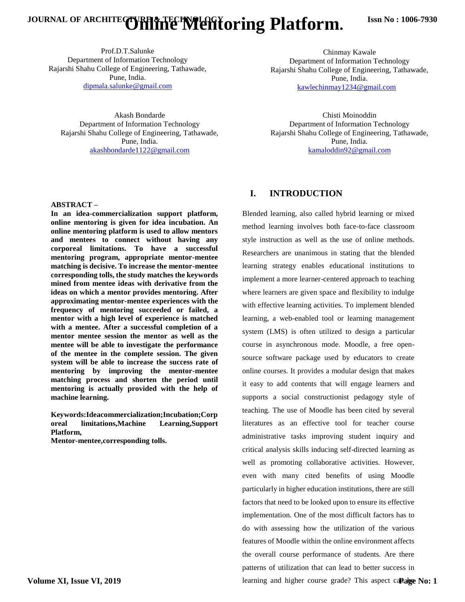# JOURNAL OF ARCHITECTURE & TECHNOLOGY **Oring Platform.**

Prof.D.T.Salunke Department of Information Technology Rajarshi Shahu College of Engineering, Tathawade, Pune, India. dipmala.salunke@gmail.com

Akash Bondarde Department of Information Technology Rajarshi Shahu College of Engineering, Tathawade, Pune, India. [akashbondarde1122@gmail.com](mailto:akashbondarde1122@gmail.com)

#### **ABSTRACT –**

**In an idea-commercialization support platform, online mentoring is given for idea incubation. An online mentoring platform is used to allow mentors and mentees to connect without having any corporeal limitations. To have a successful mentoring program, appropriate mentor-mentee matching is decisive. To increase the mentor-mentee corresponding tolls, the study matches the keywords mined from mentee ideas with derivative from the ideas on which a mentor provides mentoring. After approximating mentor-mentee experiences with the frequency of mentoring succeeded or failed, a mentor with a high level of experience is matched with a mentee. After a successful completion of a mentor mentee session the mentor as well as the mentee will be able to investigate the performance of the mentee in the complete session. The given system will be able to increase the success rate of mentoring by improving the mentor-mentee matching process and shorten the period until mentoring is actually provided with the help of machine learning.**

**Keywords:Ideacommercialization;Incubation;Corp oreal limitations,Machine Learning,Support Platform,**

**Mentor-mentee,corresponding tolls.**

Chinmay Kawale Department of Information Technology Rajarshi Shahu College of Engineering, Tathawade, Pune, India. [kawlechinmay1234@gmail.com](mailto:kawlechinmay1234@gmail.com)

Chisti Moinoddin Department of Information Technology Rajarshi Shahu College of Engineering, Tathawade, Pune, India. kamaloddin9[2@gmail.com](mailto:aneeshantonyblade@gmail.com)

#### **I. INTRODUCTION**

Blended learning, also called hybrid learning or mixed method learning involves both face-to-face classroom style instruction as well as the use of online methods. Researchers are unanimous in stating that the blended learning strategy enables educational institutions to implement a more learner-centered approach to teaching where learners are given space and flexibility to indulge with effective learning activities. To implement blended learning, a web-enabled tool or learning management system (LMS) is often utilized to design a particular course in asynchronous mode. Moodle, a free opensource software package used by educators to create online courses. It provides a modular design that makes it easy to add contents that will engage learners and supports a social constructionist pedagogy style of teaching. The use of Moodle has been cited by several literatures as an effective tool for teacher course administrative tasks improving student inquiry and critical analysis skills inducing self-directed learning as well as promoting collaborative activities. However, even with many cited benefits of using Moodle particularly in higher education institutions, there are still factors that need to be looked upon to ensure its effective implementation. One of the most difficult factors has to do with assessing how the utilization of the various features of Moodle within the online environment affects the overall course performance of students. Are there patterns of utilization that can lead to better success in learning and higher course grade? This aspect ca**Palge No: 1**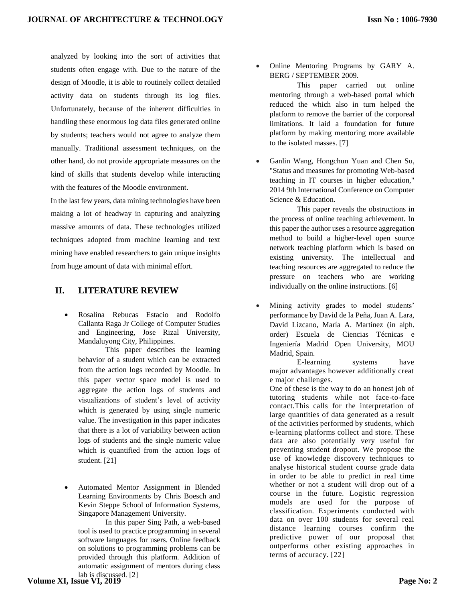analyzed by looking into the sort of activities that students often engage with. Due to the nature of the design of Moodle, it is able to routinely collect detailed activity data on students through its log files. Unfortunately, because of the inherent difficulties in handling these enormous log data files generated online by students; teachers would not agree to analyze them manually. Traditional assessment techniques, on the other hand, do not provide appropriate measures on the kind of skills that students develop while interacting with the features of the Moodle environment.

 In the last few years, data mining technologies have been making a lot of headway in capturing and analyzing massive amounts of data. These technologies utilized techniques adopted from machine learning and text mining have enabled researchers to gain unique insights from huge amount of data with minimal effort.

#### **II. LITERATURE REVIEW**

• Rosalina Rebucas Estacio and Rodolfo Callanta Raga Jr College of Computer Studies and Engineering, Jose Rizal University, Mandaluyong City, Philippines.

This paper describes the learning behavior of a student which can be extracted from the action logs recorded by Moodle. In this paper vector space model is used to aggregate the action logs of students and visualizations of student's level of activity which is generated by using single numeric value. The investigation in this paper indicates that there is a lot of variability between action logs of students and the single numeric value which is quantified from the action logs of student. [21]

• Automated Mentor Assignment in Blended Learning Environments by Chris Boesch and Kevin Steppe School of Information Systems, Singapore Management University.

In this paper Sing Path, a web-based tool is used to practice programming in several software languages for users. Online feedback on solutions to programming problems can be provided through this platform. Addition of automatic assignment of mentors during class lab is discussed. [2]

• Online Mentoring Programs by GARY A. BERG / SEPTEMBER 2009.

This paper carried out online mentoring through a web-based portal which reduced the which also in turn helped the platform to remove the barrier of the corporeal limitations. It laid a foundation for future platform by making mentoring more available to the isolated masses. [7]

• Ganlin Wang, Hongchun Yuan and Chen Su, "Status and measures for promoting Web-based teaching in IT courses in higher education," 2014 9th International Conference on Computer Science & Education.

This paper reveals the obstructions in the process of online teaching achievement. In this paper the author uses a resource aggregation method to build a higher-level open source network teaching platform which is based on existing university. The intellectual and teaching resources are aggregated to reduce the pressure on teachers who are working individually on the online instructions. [6]

• Mining activity grades to model students' performance by David de la Peña, Juan A. Lara, David Lizcano, María A. Martínez (in alph. order) Escuela de Ciencias Técnicas e Ingeniería Madrid Open University, MOU Madrid, Spain.

E-learning systems have major advantages however additionally creat e major challenges.

One of these is the way to do an honest job of tutoring students while not face-to-face contact.This calls for the interpretation of large quantities of data generated as a result of the activities performed by students, which e-learning platforms collect and store. These data are also potentially very useful for preventing student dropout. We propose the use of knowledge discovery techniques to analyse historical student course grade data in order to be able to predict in real time whether or not a student will drop out of a course in the future. Logistic regression models are used for the purpose of classification. Experiments conducted with data on over 100 students for several real distance learning courses confirm the predictive power of our proposal that outperforms other existing approaches in terms of accuracy. [22]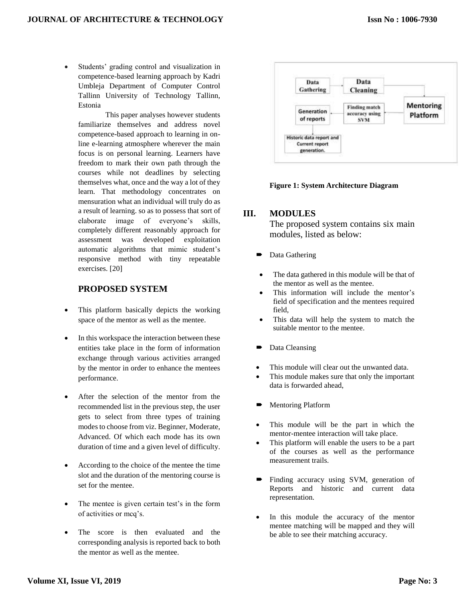Students' grading control and visualization in competence-based learning approach by Kadri Umbleja Department of Computer Control Tallinn University of Technology Tallinn, Estonia

This paper analyses however students familiarize themselves and address novel competence-based approach to learning in online e-learning atmosphere wherever the main focus is on personal learning. Learners have freedom to mark their own path through the courses while not deadlines by selecting themselves what, once and the way a lot of they learn. That methodology concentrates on mensuration what an individual will truly do as a result of learning. so as to possess that sort of elaborate image of everyone's skills, completely different reasonably approach for assessment was developed exploitation automatic algorithms that mimic student's responsive method with tiny repeatable exercises. [20]

#### **PROPOSED SYSTEM**

- This platform basically depicts the working space of the mentor as well as the mentee.
- In this workspace the interaction between these entities take place in the form of information exchange through various activities arranged by the mentor in order to enhance the mentees performance.
- After the selection of the mentor from the recommended list in the previous step, the user gets to select from three types of training modes to choose from viz. Beginner, Moderate, Advanced. Of which each mode has its own duration of time and a given level of difficulty.
- According to the choice of the mentee the time slot and the duration of the mentoring course is set for the mentee.
- The mentee is given certain test's in the form of activities or mcq's.
- The score is then evaluated and the corresponding analysis is reported back to both the mentor as well as the mentee.





### **III. MODULES**

The proposed system contains six main modules, listed as below:

- Data Gathering
- The data gathered in this module will be that of the mentor as well as the mentee.
- This information will include the mentor's field of specification and the mentees required field,
- This data will help the system to match the suitable mentor to the mentee.
- Data Cleansing
- This module will clear out the unwanted data.
- This module makes sure that only the important data is forwarded ahead,
- Mentoring Platform
- This module will be the part in which the mentor-mentee interaction will take place.
- This platform will enable the users to be a part of the courses as well as the performance measurement trails.
- Finding accuracy using SVM, generation of Reports and historic and current data representation.
- In this module the accuracy of the mentor mentee matching will be mapped and they will be able to see their matching accuracy.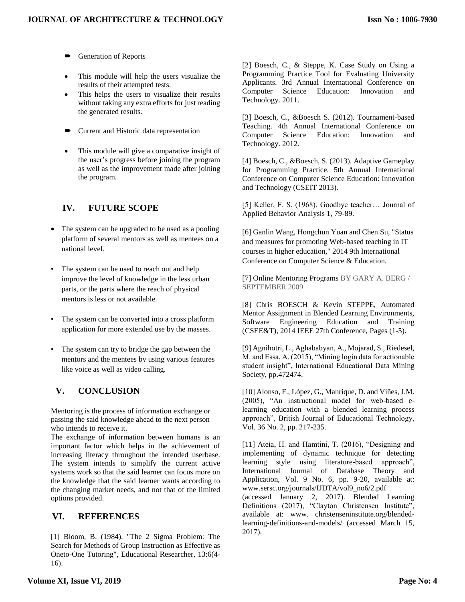- Generation of Reports
- This module will help the users visualize the results of their attempted tests.
- This helps the users to visualize their results without taking any extra efforts for just reading the generated results.
- Current and Historic data representation
- This module will give a comparative insight of the user's progress before joining the program as well as the improvement made after joining the program.

# **IV. FUTURE SCOPE**

- The system can be upgraded to be used as a pooling platform of several mentors as well as mentees on a national level.
- The system can be used to reach out and help improve the level of knowledge in the less urban parts, or the parts where the reach of physical mentors is less or not available.
- The system can be converted into a cross platform application for more extended use by the masses.
- The system can try to bridge the gap between the mentors and the mentees by using various features like voice as well as video calling.

# **V. CONCLUSION**

Mentoring is the process of information exchange or passing the said knowledge ahead to the next person who intends to receive it.

The exchange of information between humans is an important factor which helps in the achievement of increasing literacy throughout the intended userbase. The system intends to simplify the current active systems work so that the said learner can focus more on the knowledge that the said learner wants according to the changing market needs, and not that of the limited options provided.

### **VI. REFERENCES**

[1] Bloom, B. (1984). "The 2 Sigma Problem: The Search for Methods of Group Instruction as Effective as Oneto-One Tutoring", Educational Researcher, 13:6(4- 16).

[2] Boesch, C., & Steppe, K. Case Study on Using a Programming Practice Tool for Evaluating University Applicants. 3rd Annual International Conference on Computer Science Education: Innovation and Technology. 2011.

[3] Boesch, C., &Boesch S. (2012). Tournament-based Teaching. 4th Annual International Conference on Computer Science Education: Innovation and Technology. 2012.

[4] Boesch, C., &Boesch, S. (2013). Adaptive Gameplay for Programming Practice. 5th Annual International Conference on Computer Science Education: Innovation and Technology (CSEIT 2013).

[5] Keller, F. S. (1968). Goodbye teacher… Journal of Applied Behavior Analysis 1, 79-89.

[6] Ganlin Wang, Hongchun Yuan and Chen Su, "Status and measures for promoting Web-based teaching in IT courses in higher education," 2014 9th International Conference on Computer Science & Education.

[7] Online Mentoring Programs BY GARY A. BERG / SEPTEMBER 2009

[8] Chris BOESCH & Kevin STEPPE, Automated Mentor Assignment in Blended Learning Environments, Software Engineering Education and Training (CSEE&T), 2014 IEEE 27th Conference, Pages (1-5).

[9] Agnihotri, L., Aghababyan, A., Mojarad, S., Riedesel, M. and Essa, A. (2015), "Mining login data for actionable student insight", International Educational Data Mining Society, pp.472474.

[10] Alonso, F., López, G., Manrique, D. and Viñes, J.M. (2005), "An instructional model for web-based elearning education with a blended learning process approach", British Journal of Educational Technology, Vol. 36 No. 2, pp. 217-235.

[11] Ateia, H. and Hamtini, T. (2016), "Designing and implementing of dynamic technique for detecting learning style using literature-based approach", International Journal of Database Theory and Application, Vol. 9 No. 6, pp. 9-20, available at: www.sersc.org/journals/IJDTA/vol9\_no6/2.pdf (accessed January 2, 2017). Blended Learning Definitions (2017), "Clayton Christensen Institute", available at: www. christenseninstitute.org/blendedlearning-definitions-and-models/ (accessed March 15, 2017).